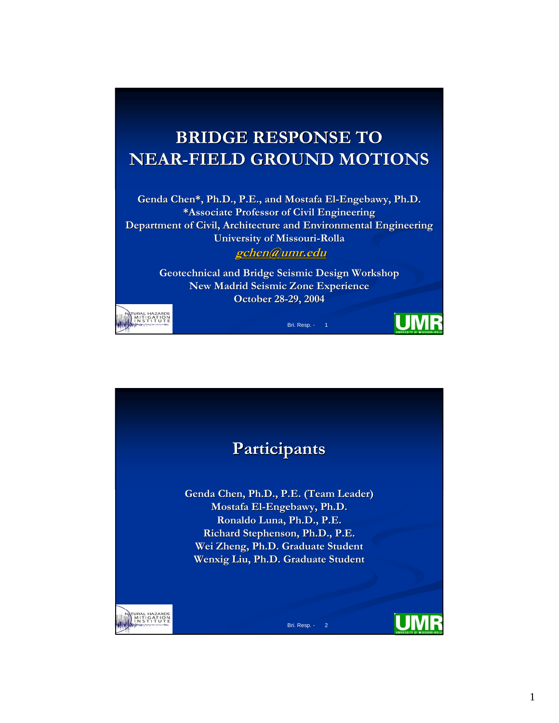## **BRIDGE RESPONSE TO BRIDGE RESPONSE TO NEAR-FIELD GROUND MOTIONS FIELD GROUND MOTIONS**

Genda Chen\*, Ph.D., P.E., and Mostafa El-Engebawy, Ph.D. **\*Associate Professor of Civil Engineering Department of Civil, Architecture and Environmental Engineering University of Missouri University of Missouri-Rolla**

**gchen@umr.edu gchen@umr.edu**

**Geotechnical and Bridge Seismic Design Workshop New Madrid Seismic Zone Experience October 28-29, 2004** 

Bri. Resp. - 1

UM



**Participants Participants Genda Chen, Ph.D., P.E. (Team Leader) Genda Leader) Mostafa Mostafa El-Engebawy Engebawy, Ph.D. , Ronaldo RonaldoLuna, Ph.D., P.E. Luna, Ph.D., P.E. Richard Stephenson, Ph.D., P.E. Richard Stephenson, Ph.D., P.E. Wei Zheng, Ph.D. Graduate Student , Ph.D. Graduate Student Wenxig Liu, Ph.D. Graduate Student Liu, Ph.D. Graduate Student**TURAL HAZARDS<br>MITIGATION<br>INSTITUTE Bri. Resp. - 2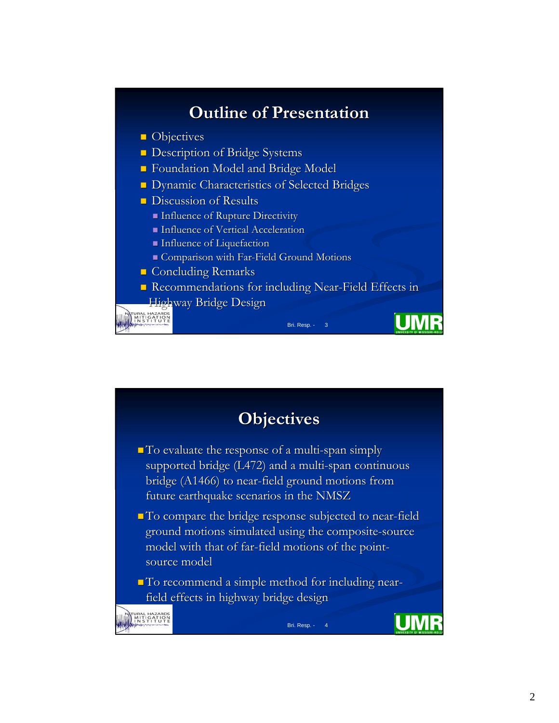

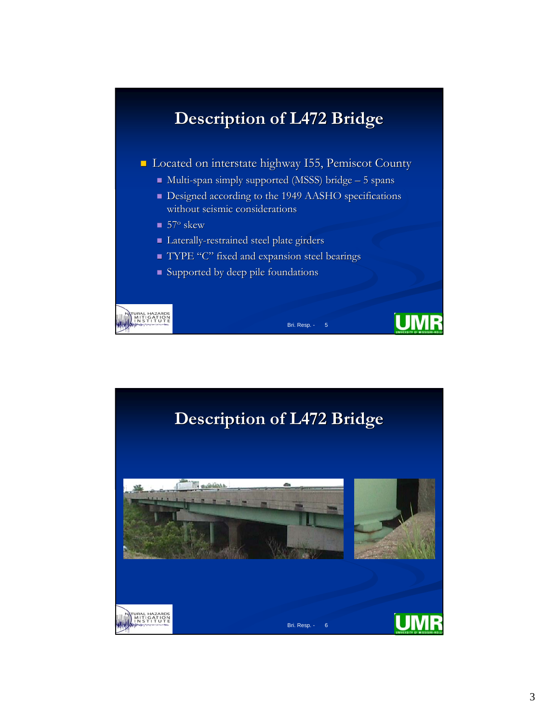## **Description of L472 Bridge Description of L472 Bridge Located on interstate highway I55, Pemiscot County**  $\blacksquare$  Multi-span simply supported (MSSS) bridge  $-5$  spans Designed according to the 1949 AASHO specifications without seismic considerations  $\blacksquare$  57<sup>o</sup> skew Laterally-restrained steel plate girders TYPE "C" fixed and expansion steel bearings  $\blacksquare$  Supported by deep pile foundations TURAL HAZARDS<br>MITIGATION<br>INSTITUTE **UM** Bri. Resp. - 5

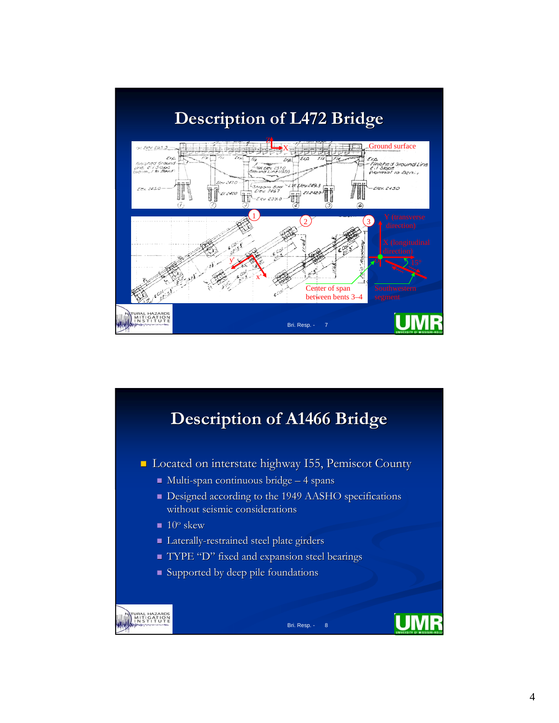

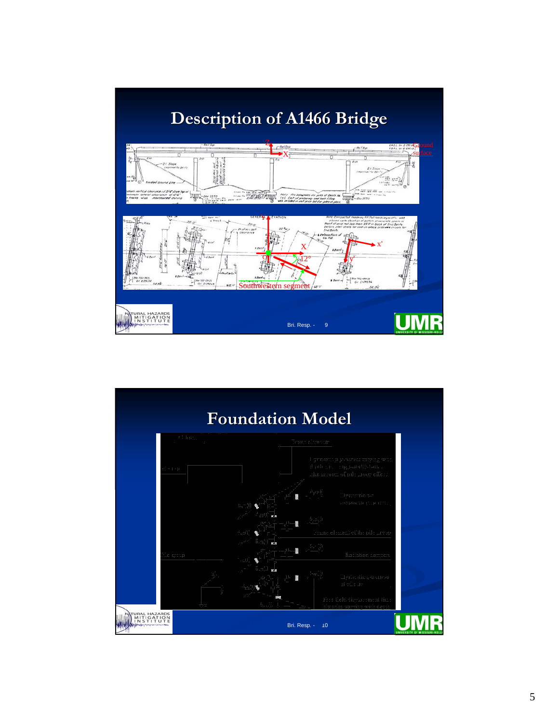

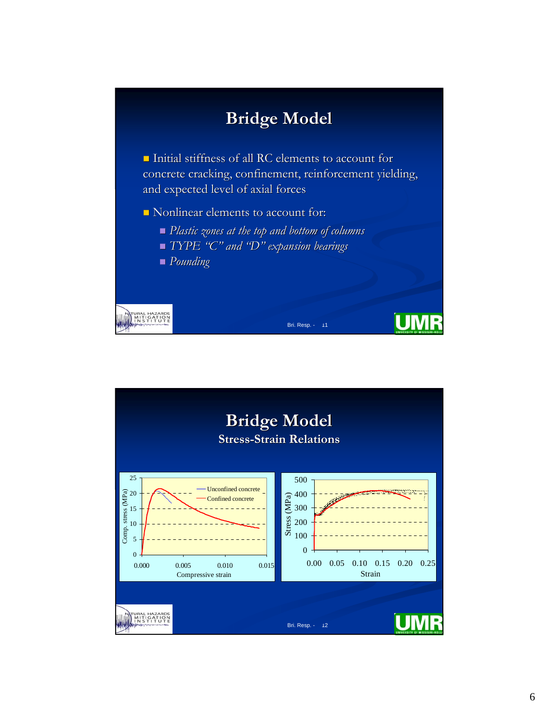

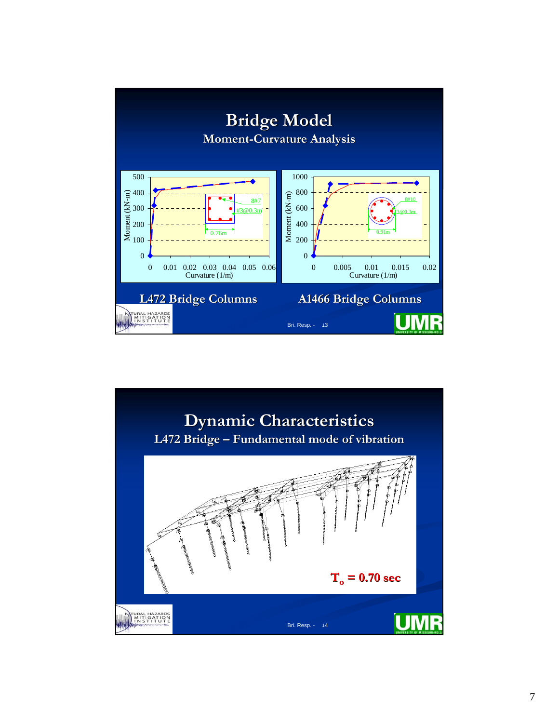

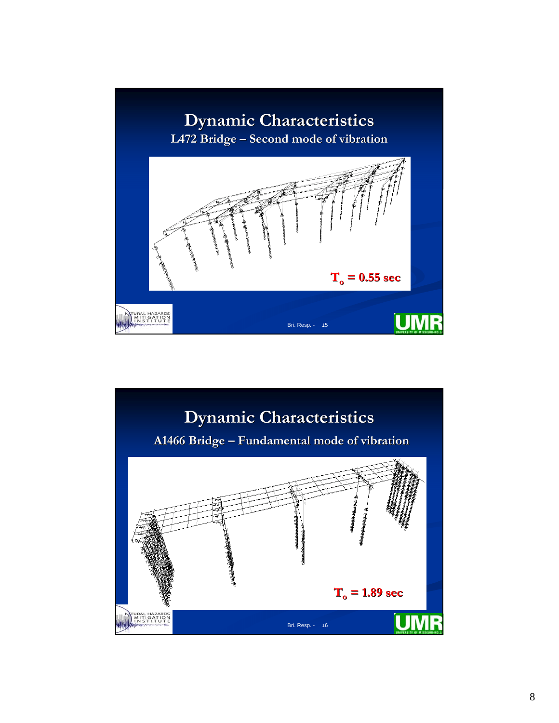

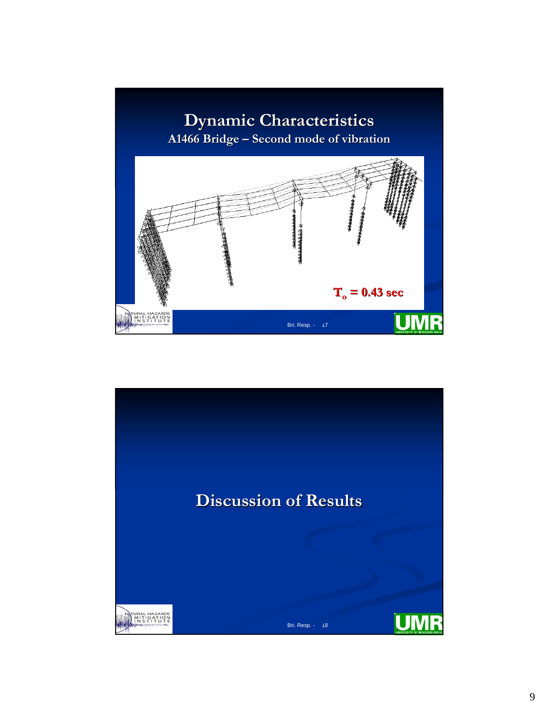

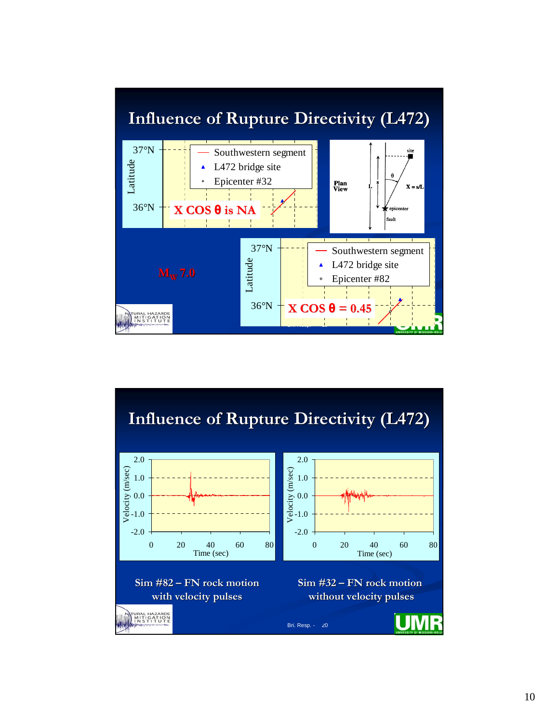

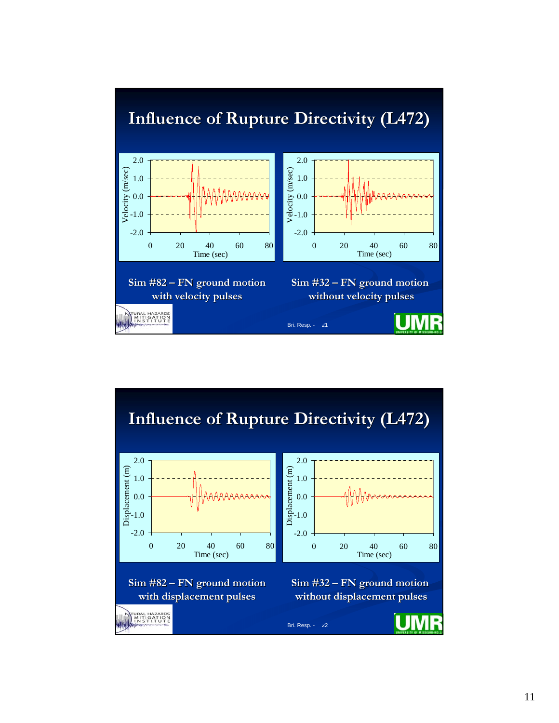

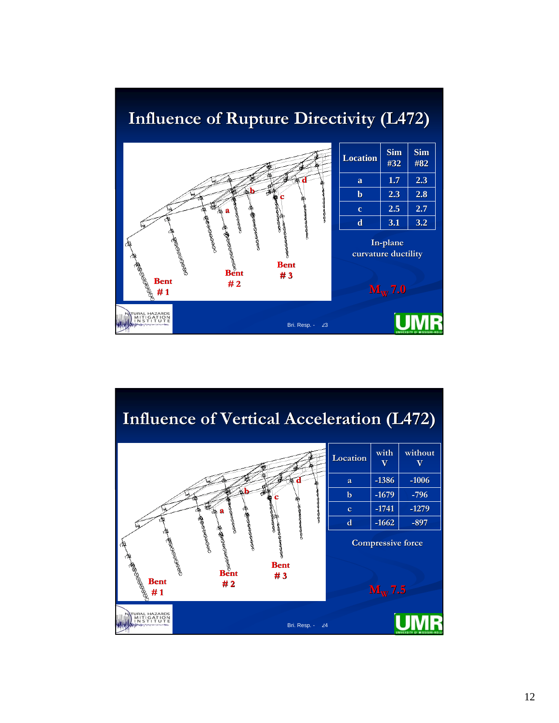

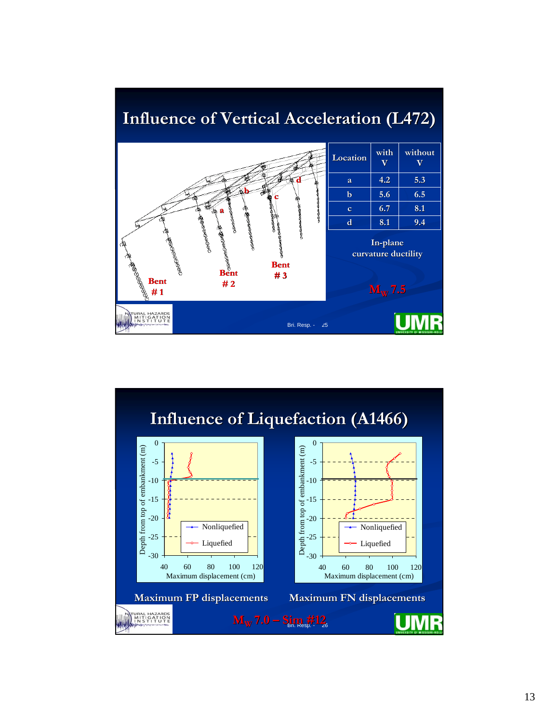

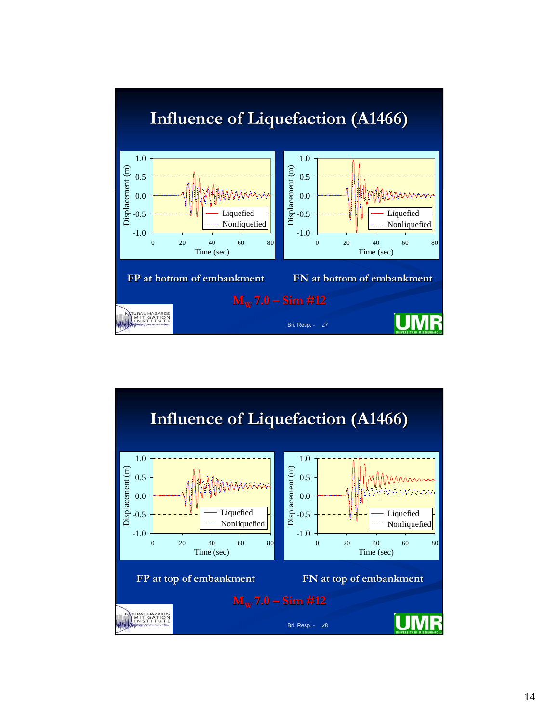

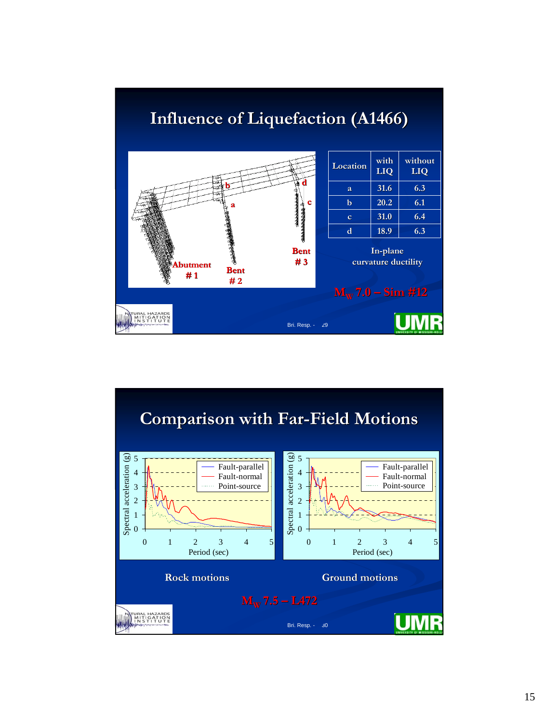

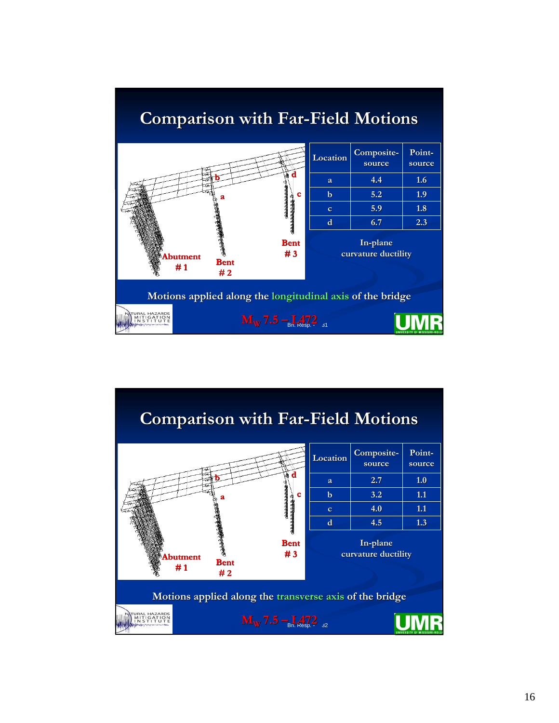

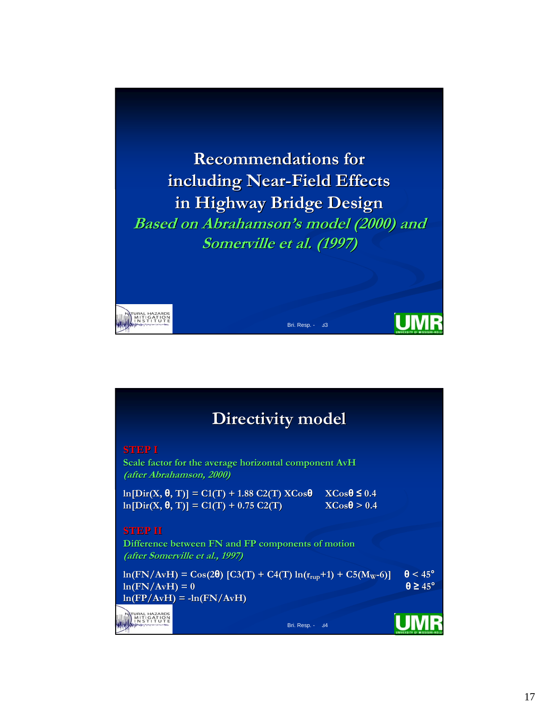

|                                                                                                               | Directivity model                                                                                                       |                                                    |                                            |
|---------------------------------------------------------------------------------------------------------------|-------------------------------------------------------------------------------------------------------------------------|----------------------------------------------------|--------------------------------------------|
| <b>STEPI</b>                                                                                                  | Scale factor for the average horizontal component AvH<br>(after Abrahamson, 2000)                                       |                                                    |                                            |
|                                                                                                               | $\ln[\text{Dir}(X, \theta, T)] = C1(T) + 1.88 C2(T) XCos\theta$<br>$\ln[\text{Dir}(X, \theta, T)] = C1(T) + 0.75 C2(T)$ | $X\text{Cos}\theta \leq 0.4$<br>$XCos\theta > 0.4$ |                                            |
| <b>STEP II</b><br>Difference between FN and FP components of motion<br><i>(after Somerville et al., 1997)</i> |                                                                                                                         |                                                    |                                            |
| $ln(FN/AvH) = 0$                                                                                              | $\ln(FN/AvH) = \cos(2\theta) [C3(T) + C4(T) \ln(r_{rup}+T) + C5(M_W-6)]$<br>$ln(FP/AvH) = -ln(FN/AvH)$                  |                                                    | $\theta$ < 45°<br>$\theta \geq 45^{\circ}$ |
| NATURAL HAZARE                                                                                                | Bri. Resp. -                                                                                                            | 34                                                 |                                            |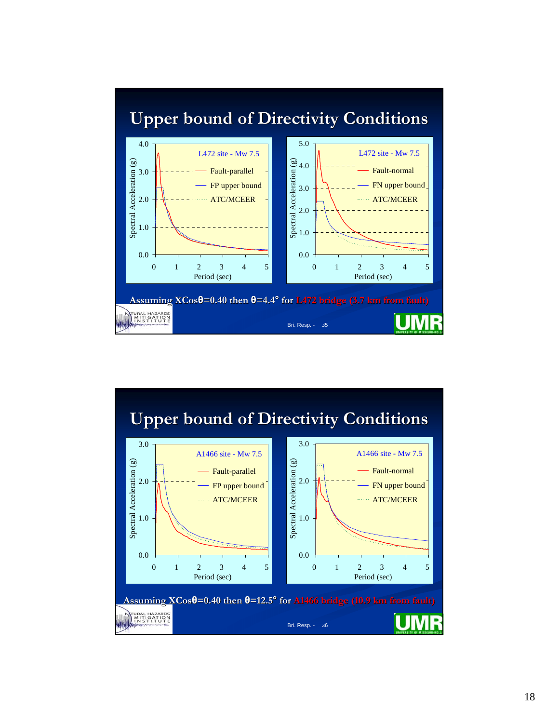

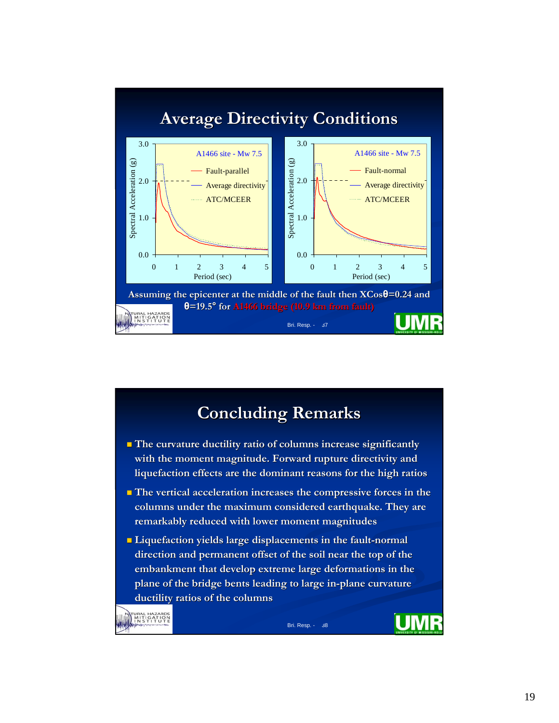

## **Concluding Remarks Concluding Remarks**

- **The curvature ductility ratio of columns increase significantly** with the moment magnitude. Forward rupture directivity and **liquefaction effects are the dominant reasons for the high ratio are the dominant reasons ratios**
- **The vertical acceleration increases the compressive forces in the** columns under the maximum considered earthquake. They are **remarkably reduced with lower moment magnitudes remarkably reduced with lower moment magnitudes**
- **Liquefaction yields large displacements in the fault-normal** direction and permanent offset of the soil near the top of the embankment that develop extreme large deformations in the plane of the bridge bents leading to large in-plane curvature **ductility ratios of the columns ductility ratios of the columns**

URAL HAZARDS<br>MITIGATION<br>INSTITUTE

Bri. Resp. - 38